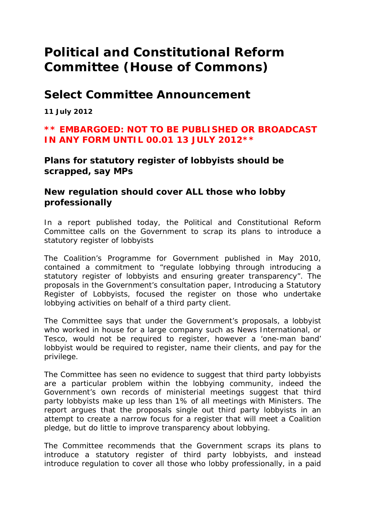# **Political and Constitutional Reform Committee (House of Commons)**

## **Select Committee Announcement**

**11 July 2012** 

### **\*\* EMBARGOED: NOT TO BE PUBLISHED OR BROADCAST IN ANY FORM UNTIL 00.01 13 JULY 2012\*\***

**Plans for statutory register of lobbyists should be scrapped, say MPs** 

#### **New regulation should cover ALL those who lobby professionally**

In a report published today, the Political and Constitutional Reform Committee calls on the Government to scrap its plans to introduce a statutory register of lobbyists

The Coalition's Programme for Government published in May 2010, contained a commitment to "regulate lobbying through introducing a statutory register of lobbyists and ensuring greater transparency". The proposals in the Government's consultation paper, Introducing a Statutory Register of Lobbyists, focused the register on those who undertake lobbying activities on behalf of a third party client.

The Committee says that under the Government's proposals, a lobbyist who worked in house for a large company such as News International, or Tesco, would not be required to register, however a 'one-man band' lobbyist would be required to register, name their clients, and pay for the privilege.

The Committee has seen no evidence to suggest that third party lobbyists are a particular problem within the lobbying community, indeed the Government's own records of ministerial meetings suggest that third party lobbyists make up less than 1% of all meetings with Ministers. The report argues that the proposals single out third party lobbyists in an attempt to create a narrow focus for a register that will meet a Coalition pledge, but do little to improve transparency about lobbying.

The Committee recommends that the Government scraps its plans to introduce a statutory register of third party lobbyists, and instead introduce regulation to cover all those who lobby professionally, in a paid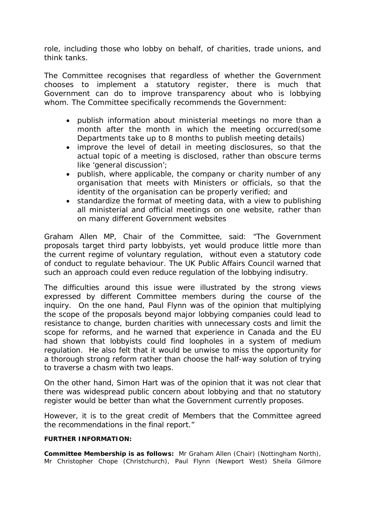role, including those who lobby on behalf, of charities, trade unions, and think tanks.

The Committee recognises that regardless of whether the Government chooses to implement a statutory register, there is much that Government can do to improve transparency about who is lobbying whom. The Committee specifically recommends the Government:

- publish information about ministerial meetings no more than a month after the month in which the meeting occurred(some Departments take up to 8 months to publish meeting details)
- improve the level of detail in meeting disclosures, so that the actual topic of a meeting is disclosed, rather than obscure terms like 'general discussion';
- publish, where applicable, the company or charity number of any organisation that meets with Ministers or officials, so that the identity of the organisation can be properly verified; and
- standardize the format of meeting data, with a view to publishing all ministerial and official meetings on one website, rather than on many different Government websites

Graham Allen MP, Chair of the Committee, said: "The Government proposals target third party lobbyists, yet would produce little more than the current regime of voluntary regulation, without even a statutory code of conduct to regulate behaviour. The UK Public Affairs Council warned that such an approach could even reduce regulation of the lobbying indisutry.

The difficulties around this issue were illustrated by the strong views expressed by different Committee members during the course of the inquiry. On the one hand, Paul Flynn was of the opinion that multiplying the scope of the proposals beyond major lobbying companies could lead to resistance to change, burden charities with unnecessary costs and limit the scope for reforms, and he warned that experience in Canada and the EU had shown that lobbyists could find loopholes in a system of medium regulation. He also felt that it would be unwise to miss the opportunity for a thorough strong reform rather than choose the half-way solution of trying to traverse a chasm with two leaps.

On the other hand, Simon Hart was of the opinion that it was not clear that there was widespread public concern about lobbying and that no statutory register would be better than what the Government currently proposes.

However, it is to the great credit of Members that the Committee agreed the recommendations in the final report."

#### **FURTHER INFORMATION:**

**Committee Membership is as follows:** Mr Graham Allen (Chair) (Nottingham North), Mr Christopher Chope (Christchurch), Paul Flynn (Newport West) Sheila Gilmore